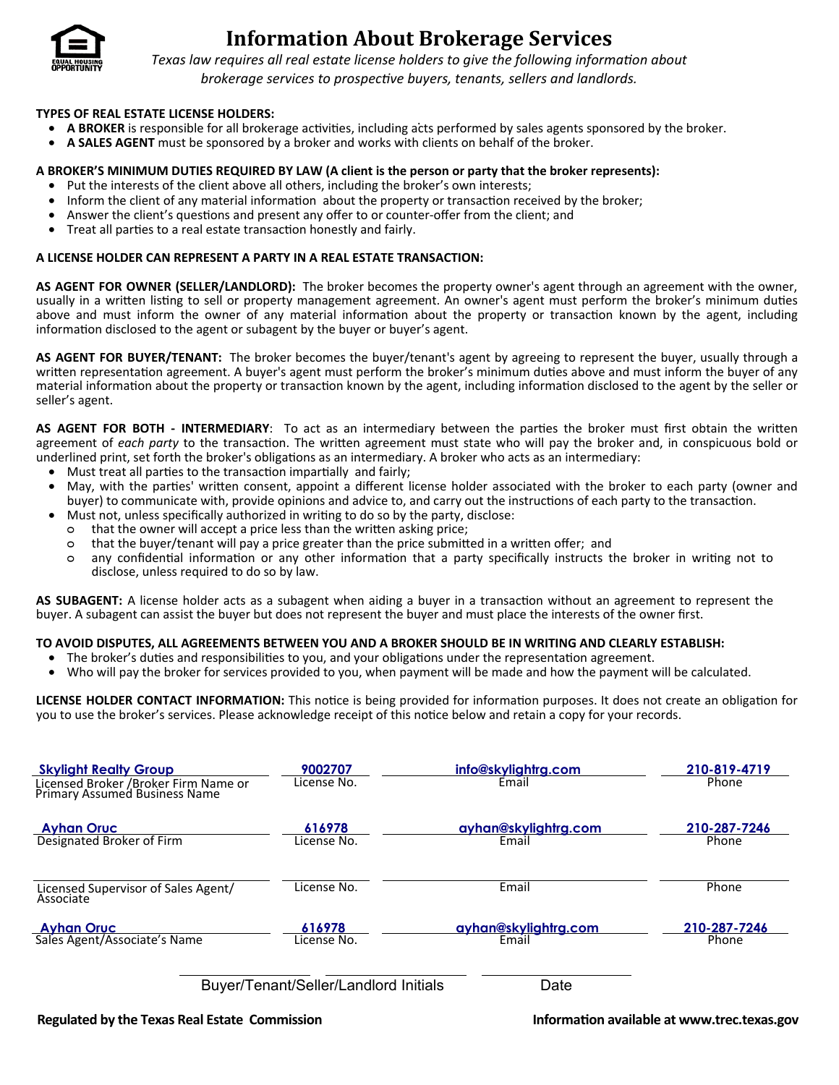

# **Information About Brokerage Services**

*Texas law requires all real estate license holders to give the following information about brokerage services to prospecƟve buyers, tenants, sellers and landlords.* 

- **TYPES OF REAL ESTATE LICENSE HOLDERS:**<br>• **A BROKER** is responsible for all brokerage activities, including acts performed by sales agents sponsored by the broker.
	- **A SALES AGENT** must be sponsored by a broker and works with clients on behalf of the broker.

# **A BROKER'S MINIMUM DUTIES REQUIRED BY LAW (A client is the person or party that the broker represents):**

- Put the interests of the client above all others, including the broker's own interests;
- Inform the client of any material information about the property or transaction received by the broker;
- Answer the client's questions and present any offer to or counter-offer from the client; and
- Treat all parties to a real estate transaction honestly and fairly.

### **A LICENSE HOLDER CAN REPRESENT A PARTY IN A REAL ESTATE TRANSACTION:**

**AS AGENT FOR OWNER (SELLER/LANDLORD):** The broker becomes the property owner's agent through an agreement with the owner, usually in a written listing to sell or property management agreement. An owner's agent must perform the broker's minimum duties above and must inform the owner of any material information about the property or transaction known by the agent, including information disclosed to the agent or subagent by the buyer or buyer's agent.

**AS AGENT FOR BUYER/TENANT:** The broker becomes the buyer/tenant's agent by agreeing to represent the buyer, usually through a written representation agreement. A buyer's agent must perform the broker's minimum duties above and must inform the buyer of any material information about the property or transaction known by the agent, including information disclosed to the agent by the seller or seller's agent.

AS AGENT FOR BOTH - INTERMEDIARY: To act as an intermediary between the parties the broker must first obtain the written agreement of *each party* to the transaction. The written agreement must state who will pay the broker and, in conspicuous bold or underlined print, set forth the broker's obligations as an intermediary. A broker who acts as an intermediary:

- Must treat all parties to the transaction impartially and fairly;
- May, with the parties' written consent, appoint a different license holder associated with the broker to each party (owner and buyer) to communicate with, provide opinions and advice to, and carry out the instructions of each party to the transaction.
- Must not, unless specifically authorized in writing to do so by the party, disclose:
- o that the owner will accept a price less than the written asking price;
- o that the buyer/tenant will pay a price greater than the price submitted in a written offer; and
- େ any confidenƟal informaƟon or any other informaƟon that a party specifically instructs the broker in wriƟng not to disclose, unless required to do so by law.

AS SUBAGENT: A license holder acts as a subagent when aiding a buyer in a transaction without an agreement to represent the buyer. A subagent can assist the buyer but does not represent the buyer and must place the interests of the owner first.

# **TO AVOID DISPUTES, ALL AGREEMENTS BETWEEN YOU AND A BROKER SHOULD BE IN WRITING AND CLEARLY ESTABLISH:**

- The broker's duties and responsibilities to you, and your obligations under the representation agreement.
- Who will pay the broker for services provided to you, when payment will be made and how the payment will be calculated.

LICENSE HOLDER CONTACT INFORMATION: This notice is being provided for information purposes. It does not create an obligation for you to use the broker's services. Please acknowledge receipt of this notice below and retain a copy for your records.

| <b>Skylight Realty Group</b>                                           | 9002707     | info@skylightrg.com  | 210-819-4719 |
|------------------------------------------------------------------------|-------------|----------------------|--------------|
| Licensed Broker / Broker Firm Name or<br>Primary Assumed Business Name | License No. | Email                | Phone        |
| <b>Ayhan Oruc</b>                                                      | 616978      | ayhan@skylightrg.com | 210-287-7246 |
| Designated Broker of Firm                                              | License No. | Email                | Phone        |
| Licensed Supervisor of Sales Agent/<br>Associate                       | License No. | Email                | Phone        |
| <b>Ayhan Oruc</b>                                                      | 616978      | ayhan@skylightrg.com | 210-287-7246 |
| Sales Agent/Associate's Name                                           | License No. | Email                | Phone        |

Buyer/Tenant/Seller/Landlord Initials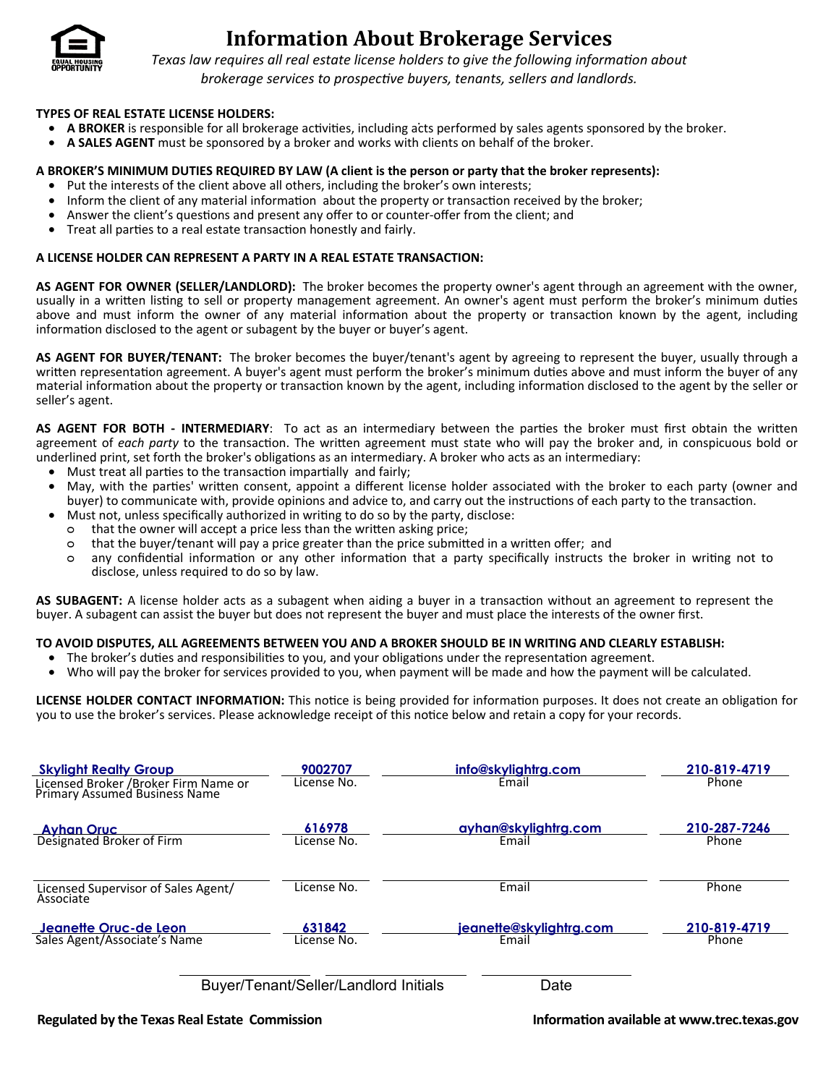

# **Information About Brokerage Services**

*Texas law requires all real estate license holders to give the following information about brokerage services to prospecƟve buyers, tenants, sellers and landlords.* 

- **TYPES OF REAL ESTATE LICENSE HOLDERS:**<br>• **A BROKER** is responsible for all brokerage activities, including acts performed by sales agents sponsored by the broker.
	- **A SALES AGENT** must be sponsored by a broker and works with clients on behalf of the broker.

# **A BROKER'S MINIMUM DUTIES REQUIRED BY LAW (A client is the person or party that the broker represents):**

- Put the interests of the client above all others, including the broker's own interests;
- Inform the client of any material information about the property or transaction received by the broker;
- Answer the client's questions and present any offer to or counter-offer from the client; and
- Treat all parties to a real estate transaction honestly and fairly.

### **A LICENSE HOLDER CAN REPRESENT A PARTY IN A REAL ESTATE TRANSACTION:**

**AS AGENT FOR OWNER (SELLER/LANDLORD):** The broker becomes the property owner's agent through an agreement with the owner, usually in a written listing to sell or property management agreement. An owner's agent must perform the broker's minimum duties above and must inform the owner of any material information about the property or transaction known by the agent, including information disclosed to the agent or subagent by the buyer or buyer's agent.

**AS AGENT FOR BUYER/TENANT:** The broker becomes the buyer/tenant's agent by agreeing to represent the buyer, usually through a written representation agreement. A buyer's agent must perform the broker's minimum duties above and must inform the buyer of any material information about the property or transaction known by the agent, including information disclosed to the agent by the seller or seller's agent.

AS AGENT FOR BOTH - INTERMEDIARY: To act as an intermediary between the parties the broker must first obtain the written agreement of *each party* to the transaction. The written agreement must state who will pay the broker and, in conspicuous bold or underlined print, set forth the broker's obligations as an intermediary. A broker who acts as an intermediary:

- Must treat all parties to the transaction impartially and fairly;
- May, with the parties' written consent, appoint a different license holder associated with the broker to each party (owner and buyer) to communicate with, provide opinions and advice to, and carry out the instructions of each party to the transaction.
- Must not, unless specifically authorized in writing to do so by the party, disclose:
- o that the owner will accept a price less than the written asking price;
- o that the buyer/tenant will pay a price greater than the price submitted in a written offer; and
- େ any confidenƟal informaƟon or any other informaƟon that a party specifically instructs the broker in wriƟng not to disclose, unless required to do so by law.

AS SUBAGENT: A license holder acts as a subagent when aiding a buyer in a transaction without an agreement to represent the buyer. A subagent can assist the buyer but does not represent the buyer and must place the interests of the owner first.

# **TO AVOID DISPUTES, ALL AGREEMENTS BETWEEN YOU AND A BROKER SHOULD BE IN WRITING AND CLEARLY ESTABLISH:**

- The broker's duties and responsibilities to you, and your obligations under the representation agreement.
- Who will pay the broker for services provided to you, when payment will be made and how the payment will be calculated.

LICENSE HOLDER CONTACT INFORMATION: This notice is being provided for information purposes. It does not create an obligation for you to use the broker's services. Please acknowledge receipt of this notice below and retain a copy for your records.

| <b>Skylight Realty Group</b>                                           | 9002707     | info@skylightrg.com     | 210-819-4719 |
|------------------------------------------------------------------------|-------------|-------------------------|--------------|
| Licensed Broker / Broker Firm Name or<br>Primary Assumed Business Name | License No. | Email                   | Phone        |
| <b>Avhan Oruc</b>                                                      | 616978      | ayhan@skylightrg.com    | 210-287-7246 |
| Designated Broker of Firm                                              | License No. | Email                   | Phone        |
| Licensed Supervisor of Sales Agent/<br>Associate                       | License No. | Email                   | Phone        |
| Jeanette Oruc-de Leon                                                  | 631842      | jeanette@skylightrg.com | 210-819-4719 |
| Sales Agent/Associate's Name                                           | License No. | Email                   | Phone        |

Buyer/Tenant/Seller/Landlord Initials

Date

 **InformaƟon available at www.trec.texas.gov**